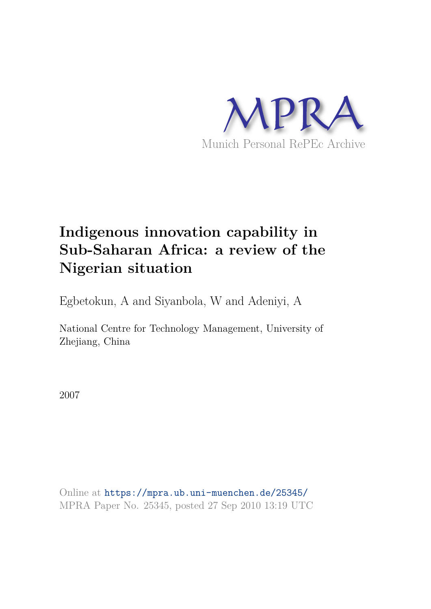

# **Indigenous innovation capability in Sub-Saharan Africa: a review of the Nigerian situation**

Egbetokun, A and Siyanbola, W and Adeniyi, A

National Centre for Technology Management, University of Zhejiang, China

2007

Online at https://mpra.ub.uni-muenchen.de/25345/ MPRA Paper No. 25345, posted 27 Sep 2010 13:19 UTC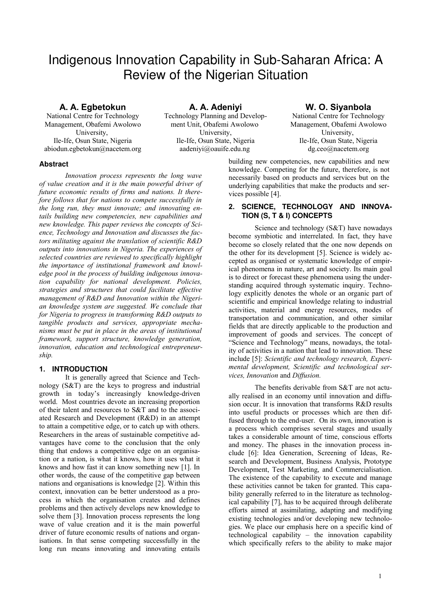# Indigenous Innovation Capability in Sub-Saharan Africa: A Review of the Nigerian Situation

## **A. A. Egbetokun**

National Centre for Technology Management, Obafemi Awolowo University, Ile-Ife, Osun State, Nigeria abiodun.egbetokun@nacetem.org

**A. A. Adeniyi** Technology Planning and Development Unit, Obafemi Awolowo University, Ile-Ife, Osun State, Nigeria aadeniyi@oauife.edu.ng

### **W. O. Siyanbola**

National Centre for Technology Management, Obafemi Awolowo University, Ile-Ife, Osun State, Nigeria dg.ceo@nacetem.org

#### **Abstract**

*Innovation process represents the long wave of value creation and it is the main powerful driver of future economic results of firms and nations. It therefore follows that for nations to compete successfully in the long run, they must innovate; and innovating entails building new competencies, new capabilities and new knowledge. This paper reviews the concepts of Science, Technology and Innovation and discusses the factors militating against the translation of scientific R&D outputs into innovations in Nigeria. The experiences of selected countries are reviewed to specifically highlight the importance of institutional framework and knowledge pool in the process of building indigenous innovation capability for national development. Policies, strategies and structures that could facilitate effective management of R&D and Innovation within the Nigerian knowledge system are suggested. We conclude that for Nigeria to progress in transforming R&D outputs to tangible products and services, appropriate mechanisms must be put in place in the areas of institutional framework, support structure, knowledge generation, innovation, education and technological entrepreneurship.*

#### **1. INTRODUCTION**

It is generally agreed that Science and Technology (S&T) are the keys to progress and industrial growth in today's increasingly knowledge-driven world. Most countries devote an increasing proportion of their talent and resources to S&T and to the associated Research and Development (R&D) in an attempt to attain a competitive edge, or to catch up with others. Researchers in the areas of sustainable competitive advantages have come to the conclusion that the only thing that endows a competitive edge on an organisation or a nation, is what it knows, how it uses what it knows and how fast it can know something new [1]. In other words, the cause of the competitive gap between nations and organisations is knowledge [2]. Within this context, innovation can be better understood as a process in which the organisation creates and defines problems and then actively develops new knowledge to solve them [3]. Innovation process represents the long wave of value creation and it is the main powerful driver of future economic results of nations and organisations. In that sense competing successfully in the long run means innovating and innovating entails

building new competencies, new capabilities and new knowledge. Competing for the future, therefore, is not necessarily based on products and services but on the underlying capabilities that make the products and services possible [4].

#### **2. SCIENCE, TECHNOLOGY AND INNOVA-TION (S, T & I) CONCEPTS**

Science and technology (S&T) have nowadays become symbiotic and interrelated. In fact, they have become so closely related that the one now depends on the other for its development [5]. Science is widely accepted as organised or systematic knowledge of empirical phenomena in nature, art and society. Its main goal is to direct or forecast these phenomena using the understanding acquired through systematic inquiry. Technology explicitly denotes the whole or an organic part of scientific and empirical knowledge relating to industrial activities, material and energy resources, modes of transportation and communication, and other similar fields that are directly applicable to the production and improvement of goods and services. The concept of "Science and Technology" means, nowadays, the totality of activities in a nation that lead to innovation. These include [5]: *Scientific and technology research, Experimental development, Scientific and technological services, Innovation* and *Diffusion.*

The benefits derivable from S&T are not actually realised in an economy until innovation and diffusion occur. It is innovation that transforms R&D results into useful products or processes which are then diffused through to the end-user. On its own, innovation is a process which comprises several stages and usually takes a considerable amount of time, conscious efforts and money. The phases in the innovation process include [6]: Idea Generation, Screening of Ideas, Research and Development, Business Analysis, Prototype Development, Test Marketing, and Commercialisation. The existence of the capability to execute and manage these activities cannot be taken for granted. This capability generally referred to in the literature as technological capability [7], has to be acquired through deliberate efforts aimed at assimilating, adapting and modifying existing technologies and/or developing new technologies. We place our emphasis here on a specific kind of technological capability – the innovation capability which specifically refers to the ability to make major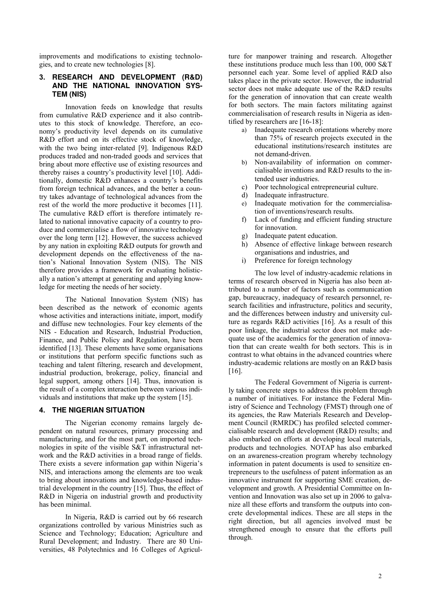improvements and modifications to existing technologies, and to create new technologies [8].

#### **3. RESEARCH AND DEVELOPMENT (R&D) AND THE NATIONAL INNOVATION SYS-TEM (NIS)**

Innovation feeds on knowledge that results from cumulative R&D experience and it also contributes to this stock of knowledge. Therefore, an economy's productivity level depends on its cumulative R&D effort and on its effective stock of knowledge, with the two being inter-related [9]. Indigenous R&D produces traded and non-traded goods and services that bring about more effective use of existing resources and thereby raises a country's productivity level [10]. Additionally, domestic R&D enhances a country's benefits from foreign technical advances, and the better a country takes advantage of technological advances from the rest of the world the more productive it becomes [11]. The cumulative R&D effort is therefore intimately related to national innovative capacity of a country to produce and commercialise a flow of innovative technology over the long term [12]. However, the success achieved by any nation in exploiting R&D outputs for growth and development depends on the effectiveness of the nation's National Innovation System (NIS). The NIS therefore provides a framework for evaluating holistically a nation's attempt at generating and applying knowledge for meeting the needs of her society.

The National Innovation System (NIS) has been described as the network of economic agents whose activities and interactions initiate, import, modify and diffuse new technologies. Four key elements of the NIS - Education and Research, Industrial Production, Finance, and Public Policy and Regulation, have been identified [13]. These elements have some organisations or institutions that perform specific functions such as teaching and talent filtering, research and development, industrial production, brokerage, policy, financial and legal support, among others [14]. Thus, innovation is the result of a complex interaction between various individuals and institutions that make up the system [15].

#### **4. THE NIGERIAN SITUATION**

The Nigerian economy remains largely dependent on natural resources, primary processing and manufacturing, and for the most part, on imported technologies in spite of the visible S&T infrastructural network and the R&D activities in a broad range of fields. There exists a severe information gap within Nigeria's NIS, and interactions among the elements are too weak to bring about innovations and knowledge-based industrial development in the country [15]. Thus, the effect of R&D in Nigeria on industrial growth and productivity has been minimal.

In Nigeria, R&D is carried out by 66 research organizations controlled by various Ministries such as Science and Technology; Education; Agriculture and Rural Development; and Industry. There are 80 Universities, 48 Polytechnics and 16 Colleges of Agriculture for manpower training and research. Altogether these institutions produce much less than 100, 000 S&T personnel each year. Some level of applied R&D also takes place in the private sector. However, the industrial sector does not make adequate use of the R&D results for the generation of innovation that can create wealth for both sectors. The main factors militating against commercialisation of research results in Nigeria as identified by researchers are [16-18]:

- a) Inadequate research orientations whereby more than 75% of research projects executed in the educational institutions/research institutes are not demand-driven.
- b) Non-availability of information on commercialisable inventions and R&D results to the intended user industries.
- c) Poor technological entrepreneurial culture.
- d) Inadequate infrastructure.
- e) Inadequate motivation for the commercialisation of inventions/research results.
- f) Lack of funding and efficient funding structure for innovation.
- g) Inadequate patent education.
- h) Absence of effective linkage between research organisations and industries, and
- i) Preference for foreign technology

The low level of industry-academic relations in terms of research observed in Nigeria has also been attributed to a number of factors such as communication gap, bureaucracy, inadequacy of research personnel, research facilities and infrastructure, politics and security, and the differences between industry and university culture as regards R&D activities [16]. As a result of this poor linkage, the industrial sector does not make adequate use of the academics for the generation of innovation that can create wealth for both sectors. This is in contrast to what obtains in the advanced countries where industry-academic relations are mostly on an R&D basis [16].

The Federal Government of Nigeria is currently taking concrete steps to address this problem through a number of initiatives. For instance the Federal Ministry of Science and Technology (FMST) through one of its agencies, the Raw Materials Research and Development Council (RMRDC) has profiled selected commercialisable research and development (R&D) results; and also embarked on efforts at developing local materials, products and technologies. NOTAP has also embarked on an awareness-creation program whereby technology information in patent documents is used to sensitize entrepreneurs to the usefulness of patent information as an innovative instrument for supporting SME creation, development and growth. A Presidential Committee on Invention and Innovation was also set up in 2006 to galvanize all these efforts and transform the outputs into concrete developmental indices. These are all steps in the right direction, but all agencies involved must be strengthened enough to ensure that the efforts pull through.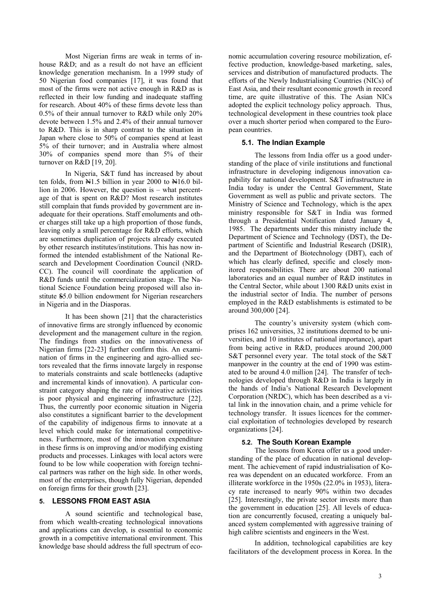Most Nigerian firms are weak in terms of inhouse R&D; and as a result do not have an efficient knowledge generation mechanism. In a 1999 study of 50 Nigerian food companies [17], it was found that most of the firms were not active enough in R&D as is reflected in their low funding and inadequate staffing for research. About 40% of these firms devote less than 0.5% of their annual turnover to R&D while only 20% devote between 1.5% and 2.4% of their annual turnover to R&D. This is in sharp contrast to the situation in Japan where close to 50% of companies spend at least 5% of their turnover; and in Australia where almost 30% of companies spend more than 5% of their turnover on R&D [19, 20].

In Nigeria, S&T fund has increased by about ten folds, from N1.5 billion in year 2000 to N16.0 billion in 2006. However, the question is – what percentage of that is spent on R&D? Most research institutes still complain that funds provided by government are inadequate for their operations. Staff emoluments and other charges still take up a high proportion of those funds, leaving only a small percentage for R&D efforts, which are sometimes duplication of projects already executed by other research institutes/institutions. This has now informed the intended establishment of the National Research and Development Coordination Council (NRD-CC). The council will coordinate the application of R&D funds until the commercialization stage. The National Science Foundation being proposed will also institute \$5.0 billion endowment for Nigerian researchers in Nigeria and in the Diasporas.

It has been shown [21] that the characteristics of innovative firms are strongly influenced by economic development and the management culture in the region. The findings from studies on the innovativeness of Nigerian firms [22-23] further confirm this. An examination of firms in the engineering and agro-allied sectors revealed that the firms innovate largely in response to materials constraints and scale bottlenecks (adaptive and incremental kinds of innovation). A particular constraint category shaping the rate of innovative activities is poor physical and engineering infrastructure [22]. Thus, the currently poor economic situation in Nigeria also constitutes a significant barrier to the development of the capability of indigenous firms to innovate at a level which could make for international competitiveness. Furthermore, most of the innovation expenditure in these firms is on improving and/or modifying existing products and processes. Linkages with local actors were found to be low while cooperation with foreign technical partners was rather on the high side. In other words, most of the enterprises, though fully Nigerian, depended on foreign firms for their growth [23].

#### **5. LESSONS FROM EAST ASIA**

A sound scientific and technological base, from which wealth-creating technological innovations and applications can develop, is essential to economic growth in a competitive international environment. This knowledge base should address the full spectrum of economic accumulation covering resource mobilization, effective production, knowledge-based marketing, sales, services and distribution of manufactured products. The efforts of the Newly Industrialising Countries (NICs) of East Asia, and their resultant economic growth in record time, are quite illustrative of this. The Asian NICs adopted the explicit technology policy approach. Thus, technological development in these countries took place over a much shorter period when compared to the European countries.

#### **5.1. The Indian Example**

The lessons from India offer us a good understanding of the place of virile institutions and functional infrastructure in developing indigenous innovation capability for national development. S&T infrastructure in India today is under the Central Government, State Government as well as public and private sectors.The Ministry of Science and Technology, which is the apex ministry responsible for S&T in India was formed through a Presidential Notification dated January 4, 1985. The departments under this ministry include the Department of Science and Technology (DST), the Department of Scientific and Industrial Research (DSIR), and the Department of Biotechnology (DBT), each of which has clearly defined, specific and closely monitored responsibilities. There are about 200 national laboratories and an equal number of R&D institutes in the Central Sector, while about 1300 R&D units exist in the industrial sector of India. The number of persons employed in the R&D establishments is estimated to be around 300,000 [24].

The country's university system (which comprises 162 universities, 32 institutions deemed to be universities, and 10 institutes of national importance), apart from being active in R&D, produces around 200,000 S&T personnel every year. The total stock of the S&T manpower in the country at the end of 1990 was estimated to be around 4.0 million [24]. The transfer of technologies developed through R&D in India is largely in the hands of India's National Research Development Corporation (NRDC), which has been described as a vital link in the innovation chain, and a prime vehicle for technology transfer. It issues licences for the commercial exploitation of technologies developed by research organizations [24].

#### **5.2. The South Korean Example**

The lessons from Korea offer us a good understanding of the place of education in national development. The achievement of rapid industrialisation of Korea was dependent on an educated workforce. From an illiterate workforce in the 1950s (22.0% in 1953), literacy rate increased to nearly 90% within two decades [25]. Interestingly, the private sector invests more than the government in education [25]. All levels of education are concurrently focused, creating a uniquely balanced system complemented with aggressive training of high calibre scientists and engineers in the West.

In addition, technological capabilities are key facilitators of the development process in Korea. In the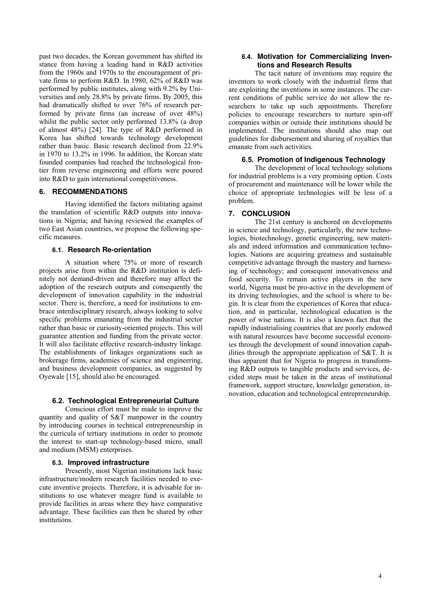past two decades, the Korean government has shifted its stance from having a leading hand in R&D activities from the 1960s and 1970s to the encouragement of private firms to perform R&D. In 1980, 62% of R&D was performed by public institutes, along with 9.2% by Universities and only 28.8% by private firms. By 2005, this had dramatically shifted to over 76% of research performed by private firms (an increase of over 48%) whilst the public sector only performed 13.8% (a drop of almost 48%) [24]. The type of R&D performed in Korea has shifted towards technology development rather than basic. Basic research declined from 22.9% in 1970 to 13.2% in 1996. In addition, the Korean state founded companies had reached the technological frontier from reverse engineering and efforts were poured into R&D to gain international competitiveness.

#### **6. RECOMMENDATIONS**

Having identified the factors militating against the translation of scientific R&D outputs into innovations in Nigeria; and having reviewed the examples of two East Asian countries, we propose the following specific measures.

#### **6.1. Research Re-orientation**

A situation where 75% or more of research projects arise from within the R&D institution is definitely not demand-driven and therefore may affect the adoption of the research outputs and consequently the development of innovation capability in the industrial sector. There is, therefore, a need for institutions to embrace interdisciplinary research, always looking to solve specific problems emanating from the industrial sector rather than basic or curiosity-oriented projects. This will guarantee attention and funding from the private sector. It will also facilitate effective research-industry linkage. The establishments of linkages organizations such as brokerage firms, academies of science and engineering, and business development companies, as suggested by Oyewale [15], should also be encouraged.

#### **6.2. Technological Entrepreneurial Culture**

Conscious effort must be made to improve the quantity and quality of S&T manpower in the country by introducing courses in technical entrepreneurship in the curricula of tertiary institutions in order to promote the interest to start-up technology-based micro, small and medium (MSM) enterprises.

#### **6.3. Improved infrastructure**

Presently, most Nigerian institutions lack basic infrastructure/modern research facilities needed to execute inventive projects. Therefore, it is advisable for institutions to use whatever meagre fund is available to provide facilities in areas where they have comparative advantage. These facilities can then be shared by other institutions.

#### **6.4. Motivation for Commercializing Inventions and Research Results**

The tacit nature of inventions may require the inventors to work closely with the industrial firms that are exploiting the inventions in some instances. The current conditions of public service do not allow the researchers to take up such appointments. Therefore policies to encourage researchers to nurture spin-off companies within or outside their institutions should be implemented. The institutions should also map out guidelines for disbursement and sharing of royalties that emanate from such activities.

#### **6.5. Promotion of Indigenous Technology**

The development of local technology solutions for industrial problems is a very promising option. Costs of procurement and maintenance will be lower while the choice of appropriate technologies will be less of a problem.

#### **7. CONCLUSION**

The 21st century is anchored on developments in science and technology, particularly, the new technologies, biotechnology, genetic engineering, new materials and indeed information and communication technologies. Nations are acquiring greatness and sustainable competitive advantage through the mastery and harnessing of technology; and consequent innovativeness and food security. To remain active players in the new world, Nigeria must be pro-active in the development of its driving technologies, and the school is where to begin. It is clear from the experiences of Korea that education, and in particular, technological education is the power of wise nations. It is also a known fact that the rapidly industrialising countries that are poorly endowed with natural resources have become successful economies through the development of sound innovation capabilities through the appropriate application of S&T. It is thus apparent that for Nigeria to progress in transforming R&D outputs to tangible products and services, decided steps must be taken in the areas of institutional framework, support structure, knowledge generation, innovation, education and technological entrepreneurship.